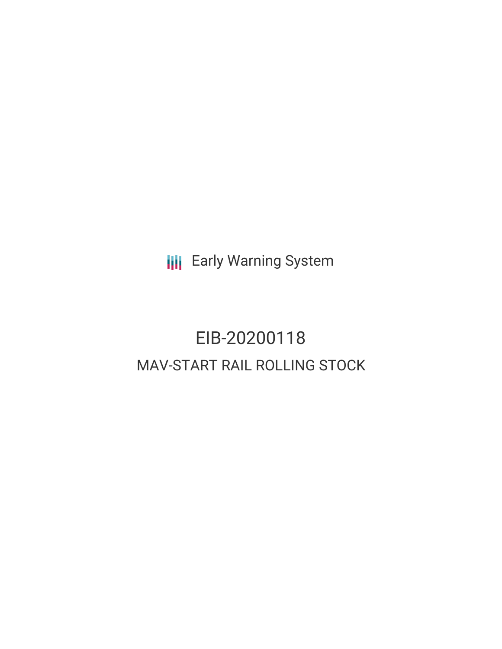**III** Early Warning System

# EIB-20200118 MAV-START RAIL ROLLING STOCK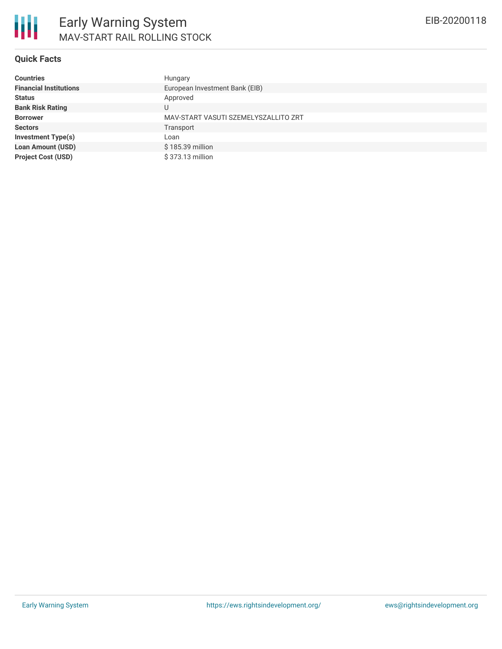#### **Quick Facts**

| <b>Countries</b>              | Hungary                              |
|-------------------------------|--------------------------------------|
| <b>Financial Institutions</b> | European Investment Bank (EIB)       |
| <b>Status</b>                 | Approved                             |
| <b>Bank Risk Rating</b>       | U                                    |
| <b>Borrower</b>               | MAV-START VASUTI SZEMELYSZALLITO ZRT |
| <b>Sectors</b>                | Transport                            |
| <b>Investment Type(s)</b>     | Loan                                 |
| <b>Loan Amount (USD)</b>      | \$185.39 million                     |
| <b>Project Cost (USD)</b>     | \$373.13 million                     |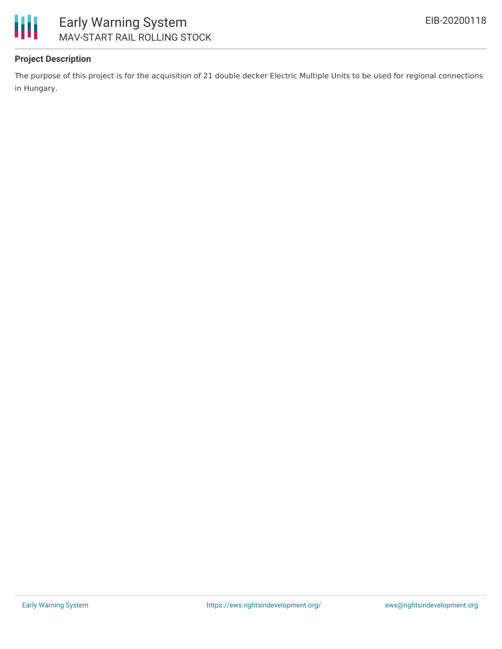

# Early Warning System MAV-START RAIL ROLLING STOCK

### **Project Description**

The purpose of this project is for the acquisition of 21 double decker Electric Multiple Units to be used for regional connections in Hungary.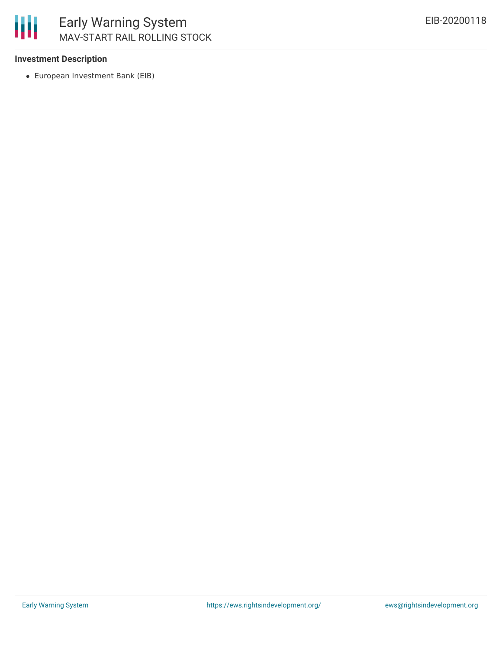

#### **Investment Description**

European Investment Bank (EIB)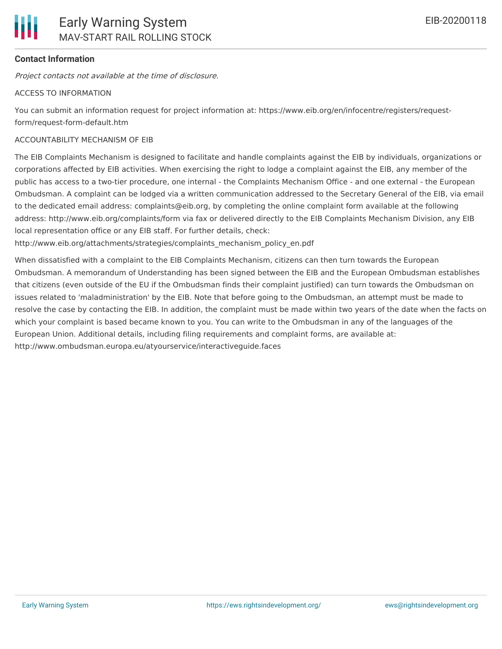

# **Contact Information**

Project contacts not available at the time of disclosure.

#### ACCESS TO INFORMATION

You can submit an information request for project information at: https://www.eib.org/en/infocentre/registers/requestform/request-form-default.htm

## ACCOUNTABILITY MECHANISM OF EIB

The EIB Complaints Mechanism is designed to facilitate and handle complaints against the EIB by individuals, organizations or corporations affected by EIB activities. When exercising the right to lodge a complaint against the EIB, any member of the public has access to a two-tier procedure, one internal - the Complaints Mechanism Office - and one external - the European Ombudsman. A complaint can be lodged via a written communication addressed to the Secretary General of the EIB, via email to the dedicated email address: complaints@eib.org, by completing the online complaint form available at the following address: http://www.eib.org/complaints/form via fax or delivered directly to the EIB Complaints Mechanism Division, any EIB local representation office or any EIB staff. For further details, check:

http://www.eib.org/attachments/strategies/complaints\_mechanism\_policy\_en.pdf

When dissatisfied with a complaint to the EIB Complaints Mechanism, citizens can then turn towards the European Ombudsman. A memorandum of Understanding has been signed between the EIB and the European Ombudsman establishes that citizens (even outside of the EU if the Ombudsman finds their complaint justified) can turn towards the Ombudsman on issues related to 'maladministration' by the EIB. Note that before going to the Ombudsman, an attempt must be made to resolve the case by contacting the EIB. In addition, the complaint must be made within two years of the date when the facts on which your complaint is based became known to you. You can write to the Ombudsman in any of the languages of the European Union. Additional details, including filing requirements and complaint forms, are available at: http://www.ombudsman.europa.eu/atyourservice/interactiveguide.faces